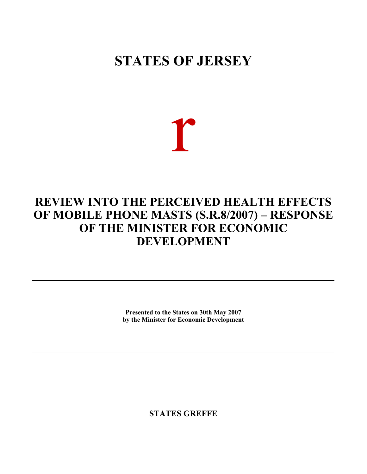# **STATES OF JERSEY**

r

# **REVIEW INTO THE PERCEIVED HEALTH EFFECTS OF MOBILE PHONE MASTS (S.R.8/2007) – RESPONSE OF THE MINISTER FOR ECONOMIC DEVELOPMENT**

**Presented to the States on 30th May 2007 by the Minister for Economic Development**

**STATES GREFFE**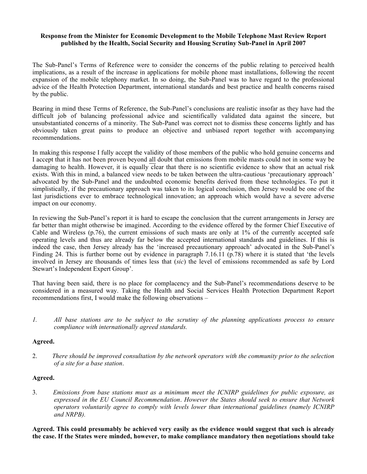# **Response from the Minister for Economic Development to the Mobile Telephone Mast Review Report published by the Health, Social Security and Housing Scrutiny Sub-Panel in April 2007**

The Sub-Panel's Terms of Reference were to consider the concerns of the public relating to perceived health implications, as a result of the increase in applications for mobile phone mast installations, following the recent expansion of the mobile telephony market. In so doing, the Sub-Panel was to have regard to the professional advice of the Health Protection Department, international standards and best practice and health concerns raised by the public.

Bearing in mind these Terms of Reference, the Sub-Panel's conclusions are realistic insofar as they have had the difficult job of balancing professional advice and scientifically validated data against the sincere, but unsubstantiated concerns of a minority. The Sub-Panel was correct not to dismiss these concerns lightly and has obviously taken great pains to produce an objective and unbiased report together with accompanying recommendations.

In making this response I fully accept the validity of those members of the public who hold genuine concerns and I accept that it has not been proven beyond all doubt that emissions from mobile masts could not in some way be damaging to health. However, it is equally clear that there is no scientific evidence to show that an actual risk exists. With this in mind, a balanced view needs to be taken between the ultra-cautious 'precautionary approach' advocated by the Sub-Panel and the undoubted economic benefits derived from these technologies. To put it simplistically, if the precautionary approach was taken to its logical conclusion, then Jersey would be one of the last jurisdictions ever to embrace technological innovation; an approach which would have a severe adverse impact on our economy.

In reviewing the Sub-Panel's report it is hard to escape the conclusion that the current arrangements in Jersey are far better than might otherwise be imagined. According to the evidence offered by the former Chief Executive of Cable and Wireless (p.76), the current emissions of such masts are only at 1% of the currently accepted safe operating levels and thus are already far below the accepted international standards and guidelines. If this is indeed the case, then Jersey already has the 'increased precautionary approach' advocated in the Sub-Panel's Finding 24. This is further borne out by evidence in paragraph 7.16.11 (p.78) where it is stated that 'the levels involved in Jersey are thousands of times less that (*sic*) the level of emissions recommended as safe by Lord Stewart's Independent Expert Group'.

That having been said, there is no place for complacency and the Sub-Panel's recommendations deserve to be considered in a measured way. Taking the Health and Social Services Health Protection Department Report recommendations first, I would make the following observations –

*1. All base stations are to be subject to the scrutiny of the planning applications process to ensure compliance with internationally agreed standards.*

# **Agreed.**

2. *There should be improved consultation by the network operators with the community prior to the selection of a site for a base station*.

# **Agreed.**

3. *Emissions from base stations must as a minimum meet the ICNIRP guidelines for public exposure, as expressed in the EU Council Recommendation*. *However the States should seek to ensure that Network operators voluntarily agree to comply with levels lower than international guidelines (namely ICNIRP and NRPB).*

**Agreed. This could presumably be achieved very easily as the evidence would suggest that such is already the case. If the States were minded, however, to make compliance mandatory then negotiations should take**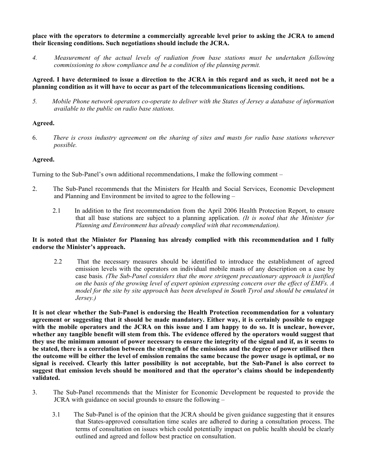**place with the operators to determine a commercially agreeable level prior to asking the JCRA to amend their licensing conditions. Such negotiations should include the JCRA.**

*4. Measurement of the actual levels of radiation from base stations must be undertaken following commissioning to show compliance and be a condition of the planning permit.*

# **Agreed. I have determined to issue a direction to the JCRA in this regard and as such, it need not be a planning condition as it will have to occur as part of the telecommunications licensing conditions.**

*5. Mobile Phone network operators co-operate to deliver with the States of Jersey a database of information available to the public on radio base stations.*

# **Agreed.**

6. *There is cross industry agreement on the sharing of sites and masts for radio base stations wherever possible.*

# **Agreed.**

Turning to the Sub-Panel's own additional recommendations, I make the following comment –

- 2. The Sub-Panel recommends that the Ministers for Health and Social Services, Economic Development and Planning and Environment be invited to agree to the following –
	- 2.1 In addition to the first recommendation from the April 2006 Health Protection Report, to ensure that all base stations are subject to a planning application. *(It is noted that the Minister for Planning and Environment has already complied with that recommendation).*

# **It is noted that the Minister for Planning has already complied with this recommendation and I fully endorse the Minister's approach.**

 2.2 That the necessary measures should be identified to introduce the establishment of agreed emission levels with the operators on individual mobile masts of any description on a case by case basis*. (The Sub-Panel considers that the more stringent precautionary approach is justified on the basis of the growing level of expert opinion expressing concern over the effect of EMFs. A model for the site by site approach has been developed in South Tyrol and should be emulated in Jersey.)*

**It is not clear whether the Sub-Panel is endorsing the Health Protection recommendation for a voluntary agreement or suggesting that it should be made mandatory. Either way, it is certainly possible to engage with the mobile operators and the JCRA on this issue and I am happy to do so. It is unclear, however, whether any tangible benefit will stem from this. The evidence offered by the operators would suggest that they use the minimum amount of power necessary to ensure the integrity of the signal and if, as it seems to be stated, there is a correlation between the strength of the emissions and the degree of power utilised then the outcome will be either the level of emission remains the same because the power usage is optimal, or no signal is received. Clearly this latter possibility is not acceptable, but the Sub-Panel is also correct to suggest that emission levels should be monitored and that the operator's claims should be independently validated.**

- 3. The Sub-Panel recommends that the Minister for Economic Development be requested to provide the JCRA with guidance on social grounds to ensure the following –
	- 3.1 The Sub-Panel is of the opinion that the JCRA should be given guidance suggesting that it ensures that States-approved consultation time scales are adhered to during a consultation process. The terms of consultation on issues which could potentially impact on public health should be clearly outlined and agreed and follow best practice on consultation.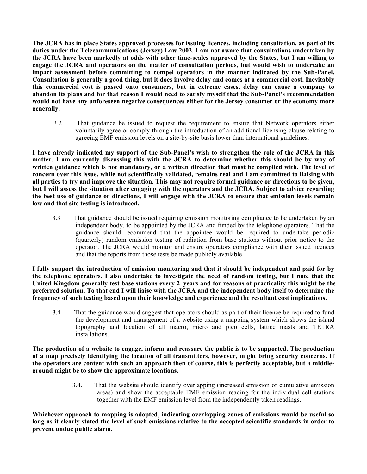**The JCRA has in place States approved processes for issuing licences, including consultation, as part of its duties under the Telecommunications (Jersey) Law 2002. I am not aware that consultations undertaken by the JCRA have been markedly at odds with other time-scales approved by the States, but I am willing to engage the JCRA and operators on the matter of consultation periods, but would wish to undertake an impact assessment before committing to compel operators in the manner indicated by the Sub-Panel. Consultation is generally a good thing, but it does involve delay and comes at a commercial cost. Inevitably this commercial cost is passed onto consumers, but in extreme cases, delay can cause a company to abandon its plans and for that reason I would need to satisfy myself that the Sub-Panel's recommendation would not have any unforeseen negative consequences either for the Jersey consumer or the economy more generally.**

 3.2 That guidance be issued to request the requirement to ensure that Network operators either voluntarily agree or comply through the introduction of an additional licensing clause relating to agreeing EMF emission levels on a site-by-site basis lower than international guidelines.

**I have already indicated my support of the Sub-Panel's wish to strengthen the role of the JCRA in this matter. I am currently discussing this with the JCRA to determine whether this should be by way of written guidance which is not mandatory, or a written direction that must be complied with. The level of concern over this issue, while not scientifically validated, remains real and I am committed to liaising with all parties to try and improve the situation. This may not require formal guidance or directions to be given, but I will assess the situation after engaging with the operators and the JCRA. Subject to advice regarding the best use of guidance or directions, I will engage with the JCRA to ensure that emission levels remain low and that site testing is introduced.**

 3.3 That guidance should be issued requiring emission monitoring compliance to be undertaken by an independent body, to be appointed by the JCRA and funded by the telephone operators. That the guidance should recommend that the appointee would be required to undertake periodic (quarterly) random emission testing of radiation from base stations without prior notice to the operator. The JCRA would monitor and ensure operators compliance with their issued licences and that the reports from those tests be made publicly available.

**I fully support the introduction of emission monitoring and that it should be independent and paid for by the telephone operators. I also undertake to investigate the need of random testing, but I note that the United Kingdom generally test base stations every 2 years and for reasons of practicality this might be the preferred solution. To that end I will liaise with the JCRA and the independent body itself to determine the frequency of such testing based upon their knowledge and experience and the resultant cost implications.**

 3.4 That the guidance would suggest that operators should as part of their licence be required to fund the development and management of a website using a mapping system which shows the island topography and location of all macro, micro and pico cells, lattice masts and TETRA installations.

**The production of a website to engage, inform and reassure the public is to be supported. The production of a map precisely identifying the location of all transmitters, however, might bring security concerns. If the operators are content with such an approach then of course, this is perfectly acceptable, but a middleground might be to show the approximate locations.**

> 3.4.1 That the website should identify overlapping (increased emission or cumulative emission areas) and show the acceptable EMF emission reading for the individual cell stations together with the EMF emission level from the independently taken readings.

**Whichever approach to mapping is adopted, indicating overlapping zones of emissions would be useful so long as it clearly stated the level of such emissions relative to the accepted scientific standards in order to prevent undue public alarm.**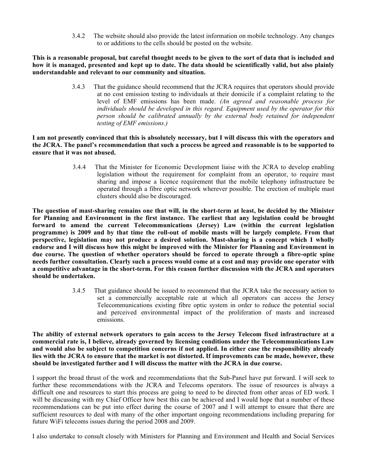3.4.2 The website should also provide the latest information on mobile technology. Any changes to or additions to the cells should be posted on the website.

**This is a reasonable proposal, but careful thought needs to be given to the sort of data that is included and how it is managed, presented and kept up to date. The data should be scientifically valid, but also plainly understandable and relevant to our community and situation.**

> 3.4.3 That the guidance should recommend that the JCRA requires that operators should provide at no cost emission testing to individuals at their domicile if a complaint relating to the level of EMF emissions has been made. *(An agreed and reasonable process for individuals should be developed in this regard. Equipment used by the operator for this person should be calibrated annually by the external body retained for independent testing of EMF emissions.)*

**I am not presently convinced that this is absolutely necessary, but I will discuss this with the operators and the JCRA. The panel's recommendation that such a process be agreed and reasonable is to be supported to ensure that it was not abused.**

> 3.4.4 That the Minister for Economic Development liaise with the JCRA to develop enabling legislation without the requirement for complaint from an operator, to require mast sharing and impose a licence requirement that the mobile telephony infrastructure be operated through a fibre optic network wherever possible. The erection of multiple mast clusters should also be discouraged.

**The question of mast-sharing remains one that will, in the short-term at least, be decided by the Minister for Planning and Environment in the first instance. The earliest that any legislation could be brought forward to amend the current Telecommunications (Jersey) Law (within the current legislation programme) is 2009 and by that time the roll-out of mobile masts will be largely complete. From that perspective, legislation may not produce a desired solution. Mast-sharing is a concept which I wholly endorse and I will discuss how this might be improved with the Minister for Planning and Environment in due course. The question of whether operators should be forced to operate through a fibre-optic spine needs further consultation. Clearly such a process would come at a cost and may provide one operator with a competitive advantage in the short-term. For this reason further discussion with the JCRA and operators should be undertaken.**

> 3.4.5 That guidance should be issued to recommend that the JCRA take the necessary action to set a commercially acceptable rate at which all operators can access the Jersey Telecommunications existing fibre optic system in order to reduce the potential social and perceived environmental impact of the proliferation of masts and increased emissions.

**The ability of external network operators to gain access to the Jersey Telecom fixed infrastructure at a commercial rate is, I believe, already governed by licensing conditions under the Telecommunications Law and would also be subject to competition concerns if not applied. In either case the responsibility already lies with the JCRA to ensure that the market is not distorted. If improvements can be made, however, these should be investigated further and I will discuss the matter with the JCRA in due course.**

I support the broad thrust of the work and recommendations that the Sub-Panel have put forward. I will seek to further these recommendations with the JCRA and Telecoms operators. The issue of resources is always a difficult one and resources to start this process are going to need to be directed from other areas of ED work. I will be discussing with my Chief Officer how best this can be achieved and I would hope that a number of these recommendations can be put into effect during the course of 2007 and I will attempt to ensure that there are sufficient resources to deal with many of the other important ongoing recommendations including preparing for future WiFi telecoms issues during the period 2008 and 2009.

I also undertake to consult closely with Ministers for Planning and Environment and Health and Social Services